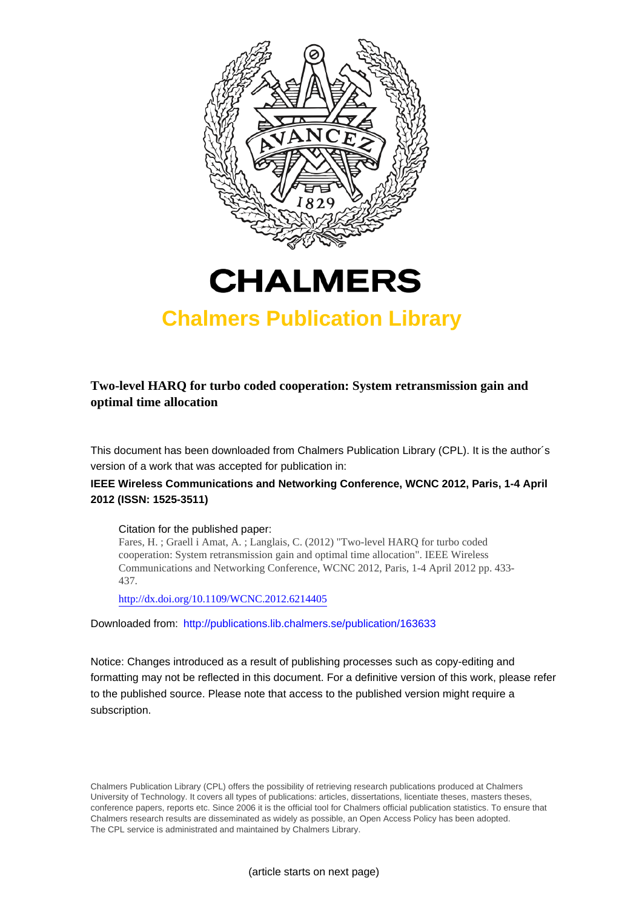



## **Chalmers Publication Library**

**Two-level HARQ for turbo coded cooperation: System retransmission gain and optimal time allocation**

This document has been downloaded from Chalmers Publication Library (CPL). It is the author´s version of a work that was accepted for publication in:

### **IEEE Wireless Communications and Networking Conference, WCNC 2012, Paris, 1-4 April 2012 (ISSN: 1525-3511)**

Citation for the published paper:

Fares, H. ; Graell i Amat, A. ; Langlais, C. (2012) "Two-level HARQ for turbo coded cooperation: System retransmission gain and optimal time allocation". IEEE Wireless Communications and Networking Conference, WCNC 2012, Paris, 1-4 April 2012 pp. 433- 437.

<http://dx.doi.org/10.1109/WCNC.2012.6214405>

Downloaded from: <http://publications.lib.chalmers.se/publication/163633>

Notice: Changes introduced as a result of publishing processes such as copy-editing and formatting may not be reflected in this document. For a definitive version of this work, please refer to the published source. Please note that access to the published version might require a subscription.

Chalmers Publication Library (CPL) offers the possibility of retrieving research publications produced at Chalmers University of Technology. It covers all types of publications: articles, dissertations, licentiate theses, masters theses, conference papers, reports etc. Since 2006 it is the official tool for Chalmers official publication statistics. To ensure that Chalmers research results are disseminated as widely as possible, an Open Access Policy has been adopted. The CPL service is administrated and maintained by Chalmers Library.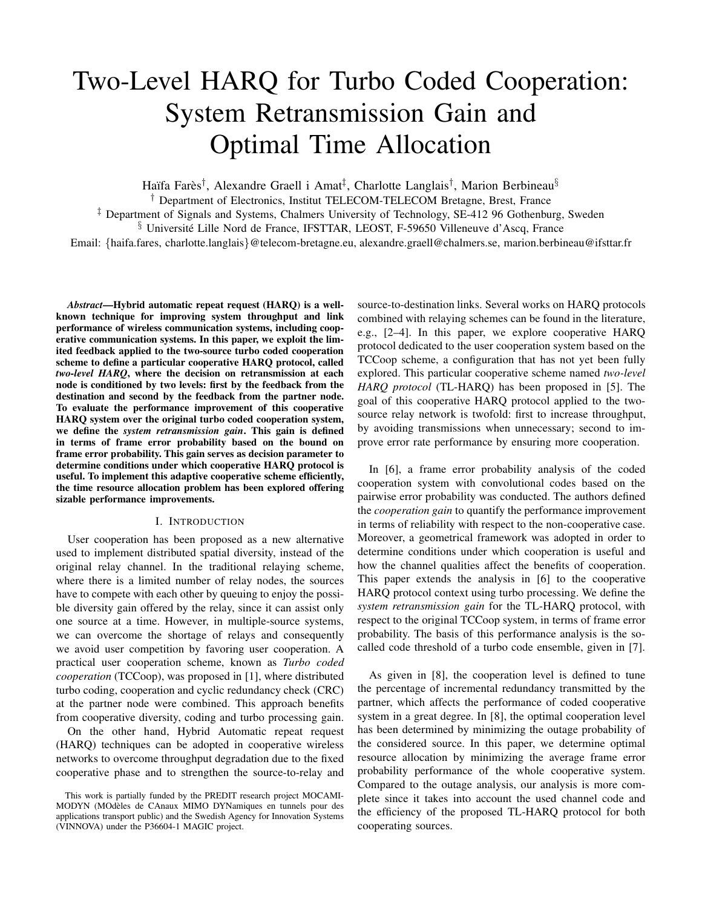# Two-Level HARQ for Turbo Coded Cooperation: System Retransmission Gain and Optimal Time Allocation

Haïfa Farès<sup>†</sup>, Alexandre Graell i Amat<sup>‡</sup>, Charlotte Langlais<sup>†</sup>, Marion Berbineau<sup>§</sup>

† Department of Electronics, Institut TELECOM-TELECOM Bretagne, Brest, France

‡ Department of Signals and Systems, Chalmers University of Technology, SE-412 96 Gothenburg, Sweden

 $§$  Université Lille Nord de France, IFSTTAR, LEOST, F-59650 Villeneuve d'Ascq, France

Email: {haifa.fares, charlotte.langlais}@telecom-bretagne.eu, alexandre.graell@chalmers.se, marion.berbineau@ifsttar.fr

*Abstract*—Hybrid automatic repeat request (HARQ) is a wellknown technique for improving system throughput and link performance of wireless communication systems, including cooperative communication systems. In this paper, we exploit the limited feedback applied to the two-source turbo coded cooperation scheme to define a particular cooperative HARQ protocol, called *two-level HARQ*, where the decision on retransmission at each node is conditioned by two levels: first by the feedback from the destination and second by the feedback from the partner node. To evaluate the performance improvement of this cooperative HARQ system over the original turbo coded cooperation system, we define the *system retransmission gain*. This gain is defined in terms of frame error probability based on the bound on frame error probability. This gain serves as decision parameter to determine conditions under which cooperative HARQ protocol is useful. To implement this adaptive cooperative scheme efficiently, the time resource allocation problem has been explored offering sizable performance improvements.

#### I. INTRODUCTION

User cooperation has been proposed as a new alternative used to implement distributed spatial diversity, instead of the original relay channel. In the traditional relaying scheme, where there is a limited number of relay nodes, the sources have to compete with each other by queuing to enjoy the possible diversity gain offered by the relay, since it can assist only one source at a time. However, in multiple-source systems, we can overcome the shortage of relays and consequently we avoid user competition by favoring user cooperation. A practical user cooperation scheme, known as *Turbo coded cooperation* (TCCoop), was proposed in [1], where distributed turbo coding, cooperation and cyclic redundancy check (CRC) at the partner node were combined. This approach benefits from cooperative diversity, coding and turbo processing gain.

On the other hand, Hybrid Automatic repeat request (HARQ) techniques can be adopted in cooperative wireless networks to overcome throughput degradation due to the fixed cooperative phase and to strengthen the source-to-relay and

This work is partially funded by the PREDIT research project MOCAMI-MODYN (MOdèles de CAnaux MIMO DYNamiques en tunnels pour des applications transport public) and the Swedish Agency for Innovation Systems (VINNOVA) under the P36604-1 MAGIC project.

source-to-destination links. Several works on HARQ protocols combined with relaying schemes can be found in the literature, e.g., [2–4]. In this paper, we explore cooperative HARQ protocol dedicated to the user cooperation system based on the TCCoop scheme, a configuration that has not yet been fully explored. This particular cooperative scheme named *two-level HARQ protocol* (TL-HARQ) has been proposed in [5]. The goal of this cooperative HARQ protocol applied to the twosource relay network is twofold: first to increase throughput, by avoiding transmissions when unnecessary; second to improve error rate performance by ensuring more cooperation.

In [6], a frame error probability analysis of the coded cooperation system with convolutional codes based on the pairwise error probability was conducted. The authors defined the *cooperation gain* to quantify the performance improvement in terms of reliability with respect to the non-cooperative case. Moreover, a geometrical framework was adopted in order to determine conditions under which cooperation is useful and how the channel qualities affect the benefits of cooperation. This paper extends the analysis in [6] to the cooperative HARQ protocol context using turbo processing. We define the *system retransmission gain* for the TL-HARQ protocol, with respect to the original TCCoop system, in terms of frame error probability. The basis of this performance analysis is the socalled code threshold of a turbo code ensemble, given in [7].

As given in [8], the cooperation level is defined to tune the percentage of incremental redundancy transmitted by the partner, which affects the performance of coded cooperative system in a great degree. In [8], the optimal cooperation level has been determined by minimizing the outage probability of the considered source. In this paper, we determine optimal resource allocation by minimizing the average frame error probability performance of the whole cooperative system. Compared to the outage analysis, our analysis is more complete since it takes into account the used channel code and the efficiency of the proposed TL-HARQ protocol for both cooperating sources.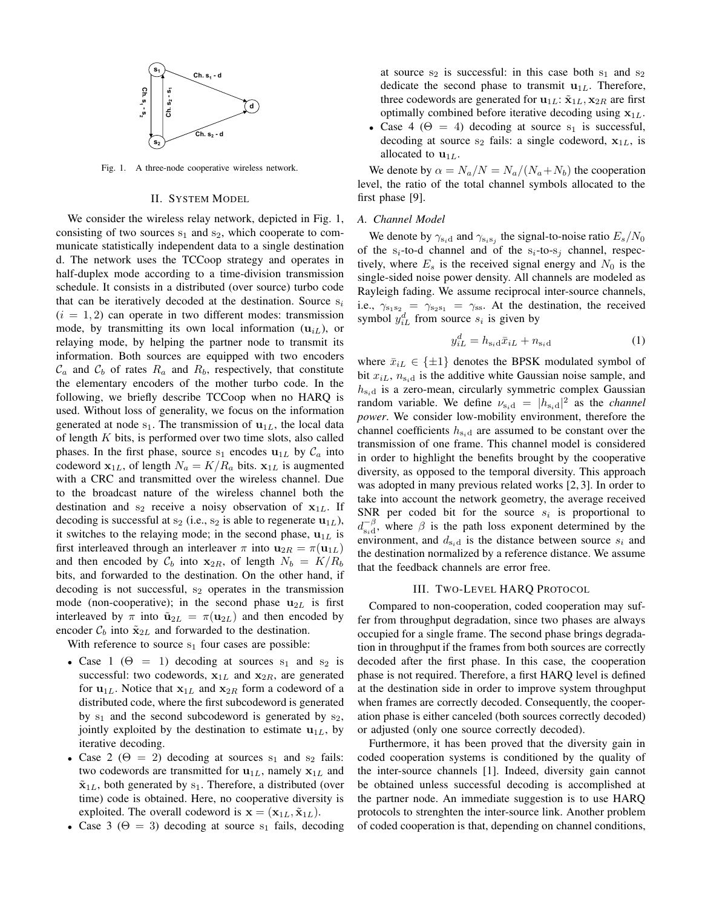

Fig. 1. A three-node cooperative wireless network.

#### II. SYSTEM MODEL

We consider the wireless relay network, depicted in Fig. 1, consisting of two sources  $s_1$  and  $s_2$ , which cooperate to communicate statistically independent data to a single destination d. The network uses the TCCoop strategy and operates in half-duplex mode according to a time-division transmission schedule. It consists in a distributed (over source) turbo code that can be iteratively decoded at the destination. Source  $s_i$  $(i = 1, 2)$  can operate in two different modes: transmission mode, by transmitting its own local information  $(\mathbf{u}_{iL})$ , or relaying mode, by helping the partner node to transmit its information. Both sources are equipped with two encoders  $\mathcal{C}_a$  and  $\mathcal{C}_b$  of rates  $R_a$  and  $R_b$ , respectively, that constitute the elementary encoders of the mother turbo code. In the following, we briefly describe TCCoop when no HARQ is used. Without loss of generality, we focus on the information generated at node  $s_1$ . The transmission of  $u_{1L}$ , the local data of length K bits, is performed over two time slots, also called phases. In the first phase, source s<sub>1</sub> encodes  $u_{1L}$  by  $C_a$  into codeword  $\mathbf{x}_{1L}$ , of length  $N_a = K/R_a$  bits.  $\mathbf{x}_{1L}$  is augmented with a CRC and transmitted over the wireless channel. Due to the broadcast nature of the wireless channel both the destination and  $s_2$  receive a noisy observation of  $x_{1L}$ . If decoding is successful at  $s_2$  (i.e.,  $s_2$  is able to regenerate  $\mathbf{u}_{1L}$ ), it switches to the relaying mode; in the second phase,  $\mathbf{u}_{1L}$  is first interleaved through an interleaver  $\pi$  into  $\mathbf{u}_{2R} = \pi(\mathbf{u}_{1L})$ and then encoded by  $C_b$  into  $x_{2R}$ , of length  $N_b = K/R_b$ bits, and forwarded to the destination. On the other hand, if decoding is not successful,  $s_2$  operates in the transmission mode (non-cooperative); in the second phase  $\mathbf{u}_{2L}$  is first interleaved by  $\pi$  into  $\tilde{\mathbf{u}}_{2L} = \pi(\mathbf{u}_{2L})$  and then encoded by encoder  $\mathcal{C}_b$  into  $\tilde{\mathbf{x}}_{2L}$  and forwarded to the destination.

With reference to source  $s_1$  four cases are possible:

- Case 1 ( $\Theta = 1$ ) decoding at sources s<sub>1</sub> and s<sub>2</sub> is successful: two codewords,  $x_{1L}$  and  $x_{2R}$ , are generated for  $\mathbf{u}_{1L}$ . Notice that  $\mathbf{x}_{1L}$  and  $\mathbf{x}_{2R}$  form a codeword of a distributed code, where the first subcodeword is generated by  $s_1$  and the second subcodeword is generated by  $s_2$ , jointly exploited by the destination to estimate  $\mathbf{u}_{1L}$ , by iterative decoding.
- Case 2 ( $\Theta = 2$ ) decoding at sources s<sub>1</sub> and s<sub>2</sub> fails: two codewords are transmitted for  $\mathbf{u}_{1L}$ , namely  $\mathbf{x}_{1L}$  and  $\tilde{\mathbf{x}}_{1L}$ , both generated by s<sub>1</sub>. Therefore, a distributed (over time) code is obtained. Here, no cooperative diversity is exploited. The overall codeword is  $\mathbf{x} = (\mathbf{x}_{1L}, \tilde{\mathbf{x}}_{1L})$ .
- Case 3 ( $\Theta = 3$ ) decoding at source s<sub>1</sub> fails, decoding

at source  $s_2$  is successful: in this case both  $s_1$  and  $s_2$ dedicate the second phase to transmit  $\mathbf{u}_{1L}$ . Therefore, three codewords are generated for  $\mathbf{u}_{1L}$ :  $\tilde{\mathbf{x}}_{1L}, \mathbf{x}_{2R}$  are first optimally combined before iterative decoding using  $x_{1L}$ .

• Case 4 ( $\Theta = 4$ ) decoding at source s<sub>1</sub> is successful, decoding at source  $s_2$  fails: a single codeword,  $x_{1L}$ , is allocated to  $\mathbf{u}_{1L}$ .

We denote by  $\alpha = N_a/N = N_a/(N_a+N_b)$  the cooperation level, the ratio of the total channel symbols allocated to the first phase [9].

#### *A. Channel Model*

We denote by  $\gamma_{s_i d}$  and  $\gamma_{s_i s_j}$  the signal-to-noise ratio  $E_s/N_0$ of the  $s_i$ -to-d channel and of the  $s_i$ -to- $s_i$  channel, respectively, where  $E_s$  is the received signal energy and  $N_0$  is the single-sided noise power density. All channels are modeled as Rayleigh fading. We assume reciprocal inter-source channels, i.e.,  $\gamma_{s_1s_2} = \gamma_{s_2s_1} = \gamma_{ss}$ . At the destination, the received symbol  $y_{iL}^d$  from source  $s_i$  is given by

$$
y_{iL}^d = h_{\mathbf{s}_i \mathbf{d}} \bar{x}_{iL} + n_{\mathbf{s}_i \mathbf{d}} \tag{1}
$$

where  $\bar{x}_{iL} \in \{\pm 1\}$  denotes the BPSK modulated symbol of bit  $x_{iL}$ ,  $n_{s_i d}$  is the additive white Gaussian noise sample, and  $h_{s_i d}$  is a zero-mean, circularly symmetric complex Gaussian random variable. We define  $v_{s_i d} = |h_{s_i d}|^2$  as the *channel power*. We consider low-mobility environment, therefore the channel coefficients  $h_{s_i d}$  are assumed to be constant over the transmission of one frame. This channel model is considered in order to highlight the benefits brought by the cooperative diversity, as opposed to the temporal diversity. This approach was adopted in many previous related works [2, 3]. In order to take into account the network geometry, the average received SNR per coded bit for the source  $s_i$  is proportional to  $d_{\textrm{s,d}}^{-\beta}$  $\sum_{s_i=0}^{\infty}$ , where  $\beta$  is the path loss exponent determined by the environment, and  $d_{s_i d}$  is the distance between source  $s_i$  and the destination normalized by a reference distance. We assume that the feedback channels are error free.

#### III. TWO-LEVEL HARQ PROTOCOL

Compared to non-cooperation, coded cooperation may suffer from throughput degradation, since two phases are always occupied for a single frame. The second phase brings degradation in throughput if the frames from both sources are correctly decoded after the first phase. In this case, the cooperation phase is not required. Therefore, a first HARQ level is defined at the destination side in order to improve system throughput when frames are correctly decoded. Consequently, the cooperation phase is either canceled (both sources correctly decoded) or adjusted (only one source correctly decoded).

Furthermore, it has been proved that the diversity gain in coded cooperation systems is conditioned by the quality of the inter-source channels [1]. Indeed, diversity gain cannot be obtained unless successful decoding is accomplished at the partner node. An immediate suggestion is to use HARQ protocols to strenghten the inter-source link. Another problem of coded cooperation is that, depending on channel conditions,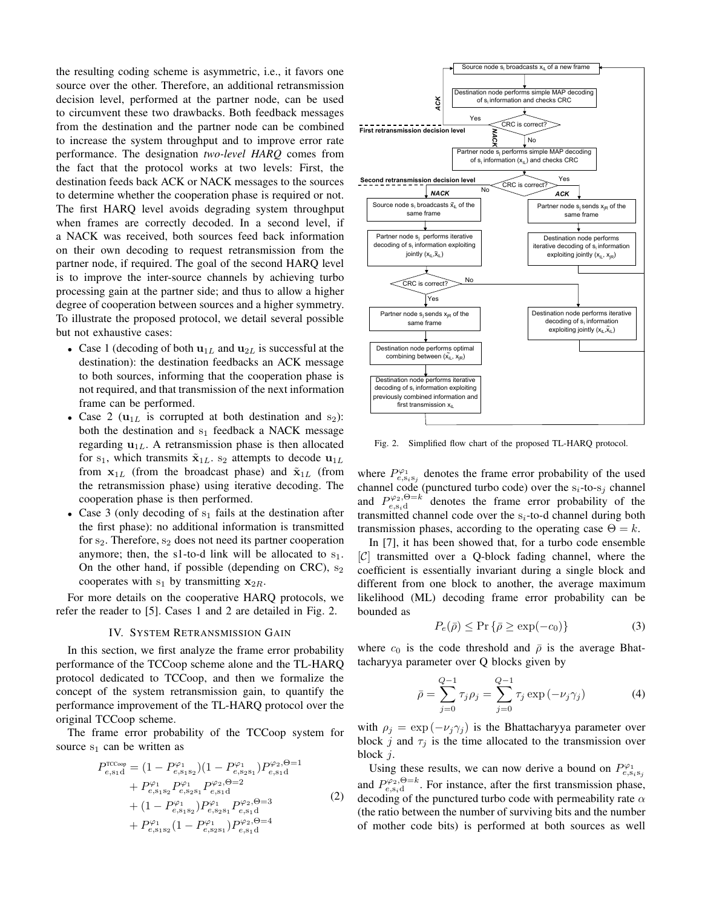the resulting coding scheme is asymmetric, i.e., it favors one source over the other. Therefore, an additional retransmission decision level, performed at the partner node, can be used to circumvent these two drawbacks. Both feedback messages from the destination and the partner node can be combined to increase the system throughput and to improve error rate performance. The designation *two-level HARQ* comes from the fact that the protocol works at two levels: First, the destination feeds back ACK or NACK messages to the sources to determine whether the cooperation phase is required or not. The first HARQ level avoids degrading system throughput when frames are correctly decoded. In a second level, if a NACK was received, both sources feed back information on their own decoding to request retransmission from the partner node, if required. The goal of the second HARQ level is to improve the inter-source channels by achieving turbo processing gain at the partner side; and thus to allow a higher degree of cooperation between sources and a higher symmetry. To illustrate the proposed protocol, we detail several possible but not exhaustive cases:

- Case 1 (decoding of both  $\mathbf{u}_{1L}$  and  $\mathbf{u}_{2L}$  is successful at the destination): the destination feedbacks an ACK message to both sources, informing that the cooperation phase is not required, and that transmission of the next information frame can be performed.
- Case 2 ( $u_{1L}$  is corrupted at both destination and s<sub>2</sub>): both the destination and  $s_1$  feedback a NACK message regarding  $\mathbf{u}_{1L}$ . A retransmission phase is then allocated for s<sub>1</sub>, which transmits  $\tilde{\mathbf{x}}_{1L}$ . s<sub>2</sub> attempts to decode  $\mathbf{u}_{1L}$ from  $x_{1L}$  (from the broadcast phase) and  $\tilde{x}_{1L}$  (from the retransmission phase) using iterative decoding. The cooperation phase is then performed.
- Case 3 (only decoding of  $s_1$  fails at the destination after the first phase): no additional information is transmitted for  $s_2$ . Therefore,  $s_2$  does not need its partner cooperation anymore; then, the s1-to-d link will be allocated to  $s_1$ . On the other hand, if possible (depending on CRC),  $s_2$ cooperates with  $s_1$  by transmitting  $x_{2R}$ .

For more details on the cooperative HARQ protocols, we refer the reader to [5]. Cases 1 and 2 are detailed in Fig. 2.

#### IV. SYSTEM RETRANSMISSION GAIN

In this section, we first analyze the frame error probability performance of the TCCoop scheme alone and the TL-HARQ protocol dedicated to TCCoop, and then we formalize the concept of the system retransmission gain, to quantify the performance improvement of the TL-HARQ protocol over the original TCCoop scheme.

The frame error probability of the TCCoop system for source  $s_1$  can be written as

$$
P_{e,s_1d}^{\text{TCCoop}} = (1 - P_{e,s_1s_2}^{\varphi_1})(1 - P_{e,s_2s_1}^{\varphi_1})P_{e,s_1d}^{\varphi_2, \Theta=1}
$$
  
+  $P_{e,s_1s_2}^{\varphi_1} P_{e,s_2s_1}^{\varphi_1} P_{e,s_1d}^{\varphi_2, \Theta=2}$   
+  $(1 - P_{e,s_1s_2}^{\varphi_1})P_{e,s_2s_1}^{\varphi_1} P_{e,s_1d}^{\varphi_2, \Theta=3}$  (2)  
+  $P_{e,s_1s_2}^{\varphi_1}(1 - P_{e,s_2s_1}^{\varphi_1})P_{e,s_1d}^{\varphi_2, \Theta=4}$ 



Fig. 2. Simplified flow chart of the proposed TL-HARQ protocol.

where  $P_{e,s_is_j}^{\varphi_1}$  denotes the frame error probability of the used channel code (punctured turbo code) over the  $s_i$ -to- $s_j$  channel and  $P_{e,s_i d}^{\varphi_2,\Theta=k}$  denotes the frame error probability of the transmitted channel code over the  $s_i$ -to-d channel during both transmission phases, according to the operating case  $\Theta = k$ .

In [7], it has been showed that, for a turbo code ensemble  $|C|$  transmitted over a Q-block fading channel, where the coefficient is essentially invariant during a single block and different from one block to another, the average maximum likelihood (ML) decoding frame error probability can be bounded as

$$
P_e(\bar{\rho}) \le \Pr\left\{\bar{\rho} \ge \exp(-c_0)\right\} \tag{3}
$$

where  $c_0$  is the code threshold and  $\bar{\rho}$  is the average Bhattacharyya parameter over Q blocks given by

$$
\bar{\rho} = \sum_{j=0}^{Q-1} \tau_j \rho_j = \sum_{j=0}^{Q-1} \tau_j \exp(-\nu_j \gamma_j)
$$
 (4)

with  $\rho_j = \exp(-\nu_j \gamma_j)$  is the Bhattacharyya parameter over block j and  $\tau_i$  is the time allocated to the transmission over block j.

Using these results, we can now derive a bound on  $P_{e,s_is_j}^{\varphi_1}$ and  $P_{e,s_1d}^{\varphi_2,\Theta=k}$ . For instance, after the first transmission phase, decoding of the punctured turbo code with permeability rate  $\alpha$ (the ratio between the number of surviving bits and the number of mother code bits) is performed at both sources as well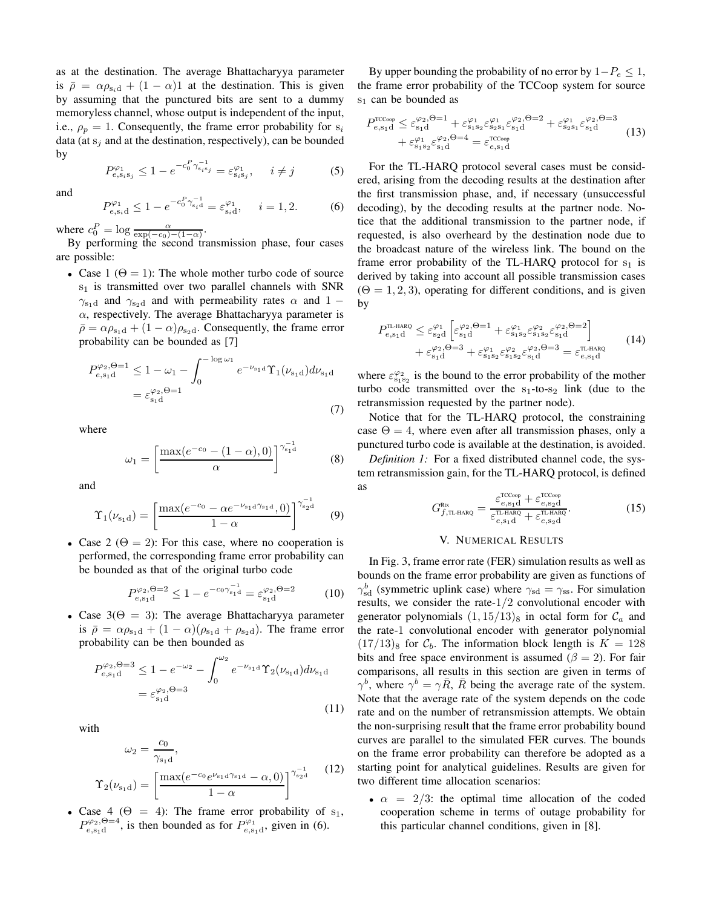as at the destination. The average Bhattacharyya parameter is  $\bar{\rho} = \alpha \rho_{s_i d} + (1 - \alpha)1$  at the destination. This is given by assuming that the punctured bits are sent to a dummy memoryless channel, whose output is independent of the input, i.e.,  $\rho_p = 1$ . Consequently, the frame error probability for  $s_i$ data (at  $s_i$  and at the destination, respectively), can be bounded by

$$
P_{e,s_is_j}^{\varphi_1} \le 1 - e^{-c_0^P \gamma_{s_is_j}^{-1}} = \varepsilon_{s_is_j}^{\varphi_1}, \quad i \ne j \tag{5}
$$

and

$$
P_{e,s_i d}^{\varphi_1} \le 1 - e^{-c_0^P \gamma_{s_i d}^{-1}} = \varepsilon_{s_i d}^{\varphi_1}, \quad i = 1, 2. \tag{6}
$$

where  $c_0^P = \log \frac{\alpha}{\exp(-c_0) - (1-\alpha)}$ .

By performing the second transmission phase, four cases are possible:

• Case 1 ( $\Theta = 1$ ): The whole mother turbo code of source  $s<sub>1</sub>$  is transmitted over two parallel channels with SNR  $\gamma_{s_1d}$  and  $\gamma_{s_2d}$  and with permeability rates  $\alpha$  and 1 −  $\alpha$ , respectively. The average Bhattacharyya parameter is  $\bar{\rho} = \alpha \rho_{s_1 d} + (1 - \alpha) \rho_{s_2 d}$ . Consequently, the frame error probability can be bounded as [7]

$$
P_{e,s_1d}^{\varphi_2,\Theta=1} \le 1 - \omega_1 - \int_0^{-\log \omega_1} e^{-\nu_{s_1d}} \Upsilon_1(\nu_{s_1d}) d\nu_{s_1d}
$$
  
=  $\varepsilon_{s_1d}^{\varphi_2,\Theta=1}$  (7)

where

$$
\omega_1 = \left[\frac{\max(e^{-c_0} - (1 - \alpha), 0)}{\alpha}\right]^{\gamma_{s_1 d}^{-1}} \tag{8}
$$

and

$$
\Upsilon_1(\nu_{s_1d}) = \left[\frac{\max(e^{-c_0} - \alpha e^{-\nu_{s_1d}\gamma_{s_1d}}, 0)}{1 - \alpha}\right]^{\gamma_{s_2d}^{-1}} \tag{9}
$$

• Case 2 ( $\Theta = 2$ ): For this case, where no cooperation is performed, the corresponding frame error probability can be bounded as that of the original turbo code

$$
P_{e,s_1d}^{\varphi_2,\Theta=2} \le 1 - e^{-c_0 \gamma_{s_1d}^{-1}} = \varepsilon_{s_1d}^{\varphi_2,\Theta=2} \tag{10}
$$

• Case  $3(\Theta = 3)$ : The average Bhattacharyya parameter is  $\bar{\rho} = \alpha \rho_{s_1d} + (1 - \alpha)(\rho_{s_1d} + \rho_{s_2d})$ . The frame error probability can be then bounded as

$$
P_{e,s_1d}^{\varphi_2,\Theta=3} \le 1 - e^{-\omega_2} - \int_0^{\omega_2} e^{-\nu_{s_1d}} \Upsilon_2(\nu_{s_1d}) d\nu_{s_1d}
$$
  
=  $\varepsilon_{s_1d}^{\varphi_2,\Theta=3}$  (11)

with

$$
\omega_2 = \frac{c_0}{\gamma_{s_1 d}},
$$
  
\n
$$
\Upsilon_2(\nu_{s_1 d}) = \left[\frac{\max(e^{-c_0}e^{\nu_{s_1 d}\gamma_{s_1 d}} - \alpha, 0)}{1 - \alpha}\right]^{\gamma_{s_2 d}^{-1}}
$$
 (12)

• Case 4 ( $\Theta = 4$ ): The frame error probability of s<sub>1</sub>,  $P_{e,s_1d}^{\varphi_2,\Theta=4}$ , is then bounded as for  $P_{e,s_1d}^{\varphi_1}$ , given in (6).

By upper bounding the probability of no error by  $1-P_e \leq 1$ , the frame error probability of the TCCoop system for source  $s_1$  can be bounded as

$$
P_{e,s_1d}^{\text{TCCoop}} \leq \varepsilon_{s_1d}^{\varphi_2,\Theta=1} + \varepsilon_{s_1s_2}^{\varphi_1} \varepsilon_{s_2s_1}^{\varphi_1} \varepsilon_{s_1d}^{\varphi_2,\Theta=2} + \varepsilon_{s_2s_1}^{\varphi_1} \varepsilon_{s_1d}^{\varphi_2,\Theta=3} + \varepsilon_{s_1s_2}^{\varphi_1} \varepsilon_{s_1d}^{\varphi_2,\Theta=4} = \varepsilon_{e,s_1d}^{\text{TCCoop}} \tag{13}
$$

For the TL-HARQ protocol several cases must be considered, arising from the decoding results at the destination after the first transmission phase, and, if necessary (unsuccessful decoding), by the decoding results at the partner node. Notice that the additional transmission to the partner node, if requested, is also overheard by the destination node due to the broadcast nature of the wireless link. The bound on the frame error probability of the TL-HARQ protocol for  $s_1$  is derived by taking into account all possible transmission cases  $(\Theta = 1, 2, 3)$ , operating for different conditions, and is given by

$$
P_{e,s_1d}^{\text{TL-HARQ}} \leq \varepsilon_{s_2d}^{\varphi_1} \left[ \varepsilon_{s_1d}^{\varphi_2, \Theta=1} + \varepsilon_{s_1s_2}^{\varphi_1} \varepsilon_{s_1s_2}^{\varphi_2} \varepsilon_{s_1d}^{\varphi_2, \Theta=2} \right] + \varepsilon_{s_1d}^{\varphi_2, \Theta=3} + \varepsilon_{s_1s_2}^{\varphi_1} \varepsilon_{s_1s_2}^{\varphi_2} \varepsilon_{s_1d}^{\varphi_2, \Theta=3} = \varepsilon_{e,s_1d}^{\text{TL-HARQ}} \tag{14}
$$

where  $\varepsilon_{s_1s_2}^{\varphi_2}$  is the bound to the error probability of the mother turbo code transmitted over the  $s_1$ -to- $s_2$  link (due to the retransmission requested by the partner node).

Notice that for the TL-HARQ protocol, the constraining case  $\Theta = 4$ , where even after all transmission phases, only a punctured turbo code is available at the destination, is avoided.

*Definition 1:* For a fixed distributed channel code, the system retransmission gain, for the TL-HARQ protocol, is defined as

$$
G_{f,\text{TL-HARQ}}^{\text{Rtx}} = \frac{\varepsilon_{e,\text{sq}}^{\text{TCcoop}} + \varepsilon_{e,\text{sq}}^{\text{TCCoop}}}{\varepsilon_{e,\text{sq}}^{\text{TL-HARQ}} + \varepsilon_{e,\text{sq}}^{\text{TL-HARQ}}}.
$$
(15)

#### V. NUMERICAL RESULTS

In Fig. 3, frame error rate (FER) simulation results as well as bounds on the frame error probability are given as functions of  $\gamma_{\rm sd}^b$  (symmetric uplink case) where  $\gamma_{\rm sd} = \gamma_{\rm ss}$ . For simulation results, we consider the rate-1/2 convolutional encoder with generator polynomials  $(1, 15/13)$ <sub>8</sub> in octal form for  $\mathcal{C}_a$  and the rate-1 convolutional encoder with generator polynomial  $(17/13)$ <sub>8</sub> for  $\mathcal{C}_b$ . The information block length is  $K = 128$ bits and free space environment is assumed ( $\beta = 2$ ). For fair comparisons, all results in this section are given in terms of  $\gamma^b$ , where  $\gamma^b = \gamma \bar{R}$ ,  $\bar{R}$  being the average rate of the system. Note that the average rate of the system depends on the code rate and on the number of retransmission attempts. We obtain the non-surprising result that the frame error probability bound curves are parallel to the simulated FER curves. The bounds on the frame error probability can therefore be adopted as a starting point for analytical guidelines. Results are given for two different time allocation scenarios:

•  $\alpha = 2/3$ : the optimal time allocation of the coded cooperation scheme in terms of outage probability for this particular channel conditions, given in [8].